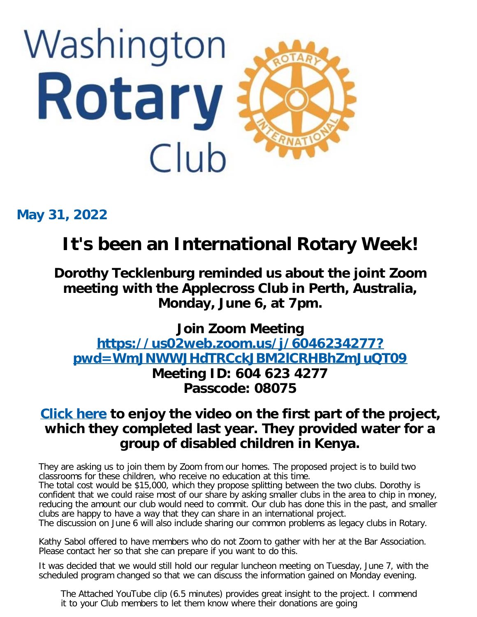

**May 31, 2022**

# **It's been an International Rotary Week!**

**Dorothy Tecklenburg reminded us about the joint Zoom meeting with the Applecross Club in Perth, Australia, Monday, June 6, at 7pm.**

**Join Zoom Meeting [https://us02web.zoom.us/j/6046234277?](https://us02web.zoom.us/j/6046234277?pwd=WmJNWWJHdTRCckJBM2lCRHBhZmJuQT09) [pwd=WmJNWWJHdTRCckJBM2lCRHBhZmJuQT09](https://us02web.zoom.us/j/6046234277?pwd=WmJNWWJHdTRCckJBM2lCRHBhZmJuQT09) Meeting ID: 604 623 4277 Passcode: 08075**

# **[Click here](https://youtu.be/0-5Ajk2EzUU) to enjoy the video on the first part of the project, which they completed last year. They provided water for a group of disabled children in Kenya.**

They are asking us to join them by Zoom from our homes. The proposed project is to build two classrooms for these children, who receive no education at this time.

The total cost would be \$15,000, which they propose splitting between the two clubs. Dorothy is confident that we could raise most of our share by asking smaller clubs in the area to chip in money, reducing the amount our club would need to commit. Our club has done this in the past, and smaller clubs are happy to have a way that they can share in an international project.

The discussion on June 6 will also include sharing our common problems as legacy clubs in Rotary.

Kathy Sabol offered to have members who do not Zoom to gather with her at the Bar Association. Please contact her so that she can prepare if you want to do this.

It was decided that we would still hold our regular luncheon meeting on Tuesday, June 7, with the scheduled program changed so that we can discuss the information gained on Monday evening.

The Attached YouTube clip (6.5 minutes) provides great insight to the project. I commend it to your Club members to let them know where their donations are going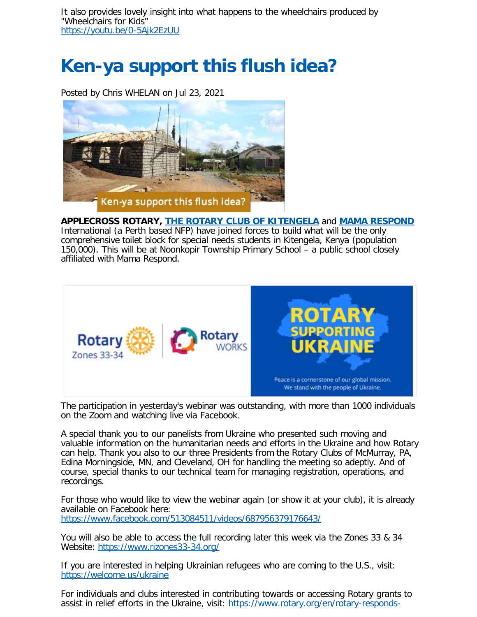# **[Ken-ya support this flush idea?](https://applecrossrotary.org/Stories/ken-ya-support-this-flush-idea)**

Posted by Chris WHELAN on Jul 23, 2021



**APPLECROSS ROTARY, [THE ROTARY CLUB OF KITENGELA](https://www.rotarykitengela.org/)** and **[MAMA RESPOND](https://www.mamarespond.org/)** International (a Perth based NFP) have joined forces to build what will be the only comprehensive toilet block for special needs students in Kitengela, Kenya (population 150,000). This will be at Noonkopir Township Primary School – a public school closely affiliated with Mama Respond.



The participation in yesterday's webinar was outstanding, with more than 1000 individuals on the Zoom and watching live via Facebook.

A special thank you to our panelists from Ukraine who presented such moving and valuable information on the humanitarian needs and efforts in the Ukraine and how Rotary can help. Thank you also to our three Presidents from the Rotary Clubs of McMurray, PA, Edina Morningside, MN, and Cleveland, OH for handling the meeting so adeptly. And of course, special thanks to our technical team for managing registration, operations, and recordings.

For those who would like to view the webinar again (or show it at your club), it is already available on Facebook here: <https://www.facebook.com/513084511/videos/687956379176643/>

You will also be able to access the full recording later this week via the Zones 33 & 34 Website: <https://www.rizones33-34.org/>

If you are interested in helping Ukrainian refugees who are coming to the U.S., visit: <https://welcome.us/ukraine>

For individuals and clubs interested in contributing towards or accessing Rotary grants to assist in relief efforts in the Ukraine, visit: [https://www.rotary.org/en/rotary-responds-](https://www.rotary.org/en/rotary-responds-ukraine-crisis)